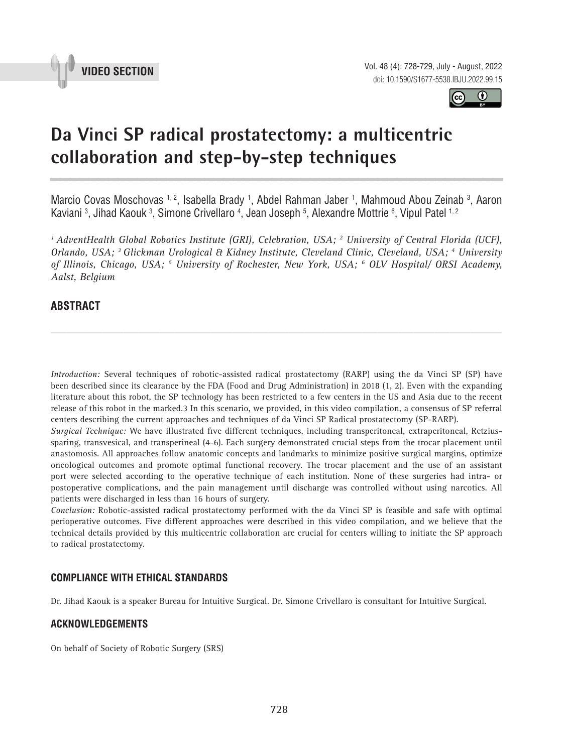



# **Da Vinci SP radical prostatectomy: a multicentric collaboration and step-by-step techniques \_\_\_\_\_\_\_\_\_\_\_\_\_\_\_\_\_\_\_\_\_\_\_\_\_\_\_\_\_\_\_\_\_\_\_\_\_\_\_\_\_\_\_\_\_\_\_**

Marcio Covas Moschovas 1, 2, Isabella Brady 1, Abdel Rahman Jaber 1, Mahmoud Abou Zeinab 3, Aaron Kaviani <sup>3</sup>, Jihad Kaouk <sup>3</sup>, Simone Crivellaro <sup>4</sup>, Jean Joseph <sup>5</sup>, Alexandre Mottrie <sup>6</sup>, Vipul Patel <sup>1, 2</sup>

<sup>1</sup> AdventHealth Global Robotics Institute (GRI), Celebration, USA; <sup>2</sup> University of Central Florida (UCF), *Orlando, USA; 3 Glickman Urological & Kidney Institute, Cleveland Clinic, Cleveland, USA; 4 University of Illinois, Chicago, USA; 5 University of Rochester, New York, USA; 6 OLV Hospital/ ORSI Academy, Aalst, Belgium*

## **ABSTRACT**

*Introduction:* Several techniques of robotic-assisted radical prostatectomy (RARP) using the da Vinci SP (SP) have been described since its clearance by the FDA (Food and Drug Administration) in 2018 (1, 2). Even with the expanding literature about this robot, the SP technology has been restricted to a few centers in the US and Asia due to the recent release of this robot in the marked.3 In this scenario, we provided, in this video compilation, a consensus of SP referral centers describing the current approaches and techniques of da Vinci SP Radical prostatectomy (SP-RARP).

*\_\_\_\_\_\_\_\_\_\_\_\_\_\_\_\_\_\_\_\_\_\_\_\_\_\_\_\_\_\_\_\_\_\_\_\_\_\_\_\_\_\_\_\_\_\_\_\_\_\_\_\_\_\_\_\_\_\_\_\_\_\_\_\_\_\_\_\_\_\_\_\_\_\_\_\_\_\_\_\_\_\_\_\_\_\_\_*

*Surgical Technique:* We have illustrated five different techniques, including transperitoneal, extraperitoneal, Retziussparing, transvesical, and transperineal (4-6). Each surgery demonstrated crucial steps from the trocar placement until anastomosis. All approaches follow anatomic concepts and landmarks to minimize positive surgical margins, optimize oncological outcomes and promote optimal functional recovery. The trocar placement and the use of an assistant port were selected according to the operative technique of each institution. None of these surgeries had intra- or postoperative complications, and the pain management until discharge was controlled without using narcotics. All patients were discharged in less than 16 hours of surgery.

*Conclusion:* Robotic-assisted radical prostatectomy performed with the da Vinci SP is feasible and safe with optimal perioperative outcomes. Five different approaches were described in this video compilation, and we believe that the technical details provided by this multicentric collaboration are crucial for centers willing to initiate the SP approach to radical prostatectomy.

### **COMPLIANCE WITH ETHICAL STANDARDS**

Dr. Jihad Kaouk is a speaker Bureau for Intuitive Surgical. Dr. Simone Crivellaro is consultant for Intuitive Surgical.

### **ACKNOWLEDGEMENTS**

On behalf of Society of Robotic Surgery (SRS)